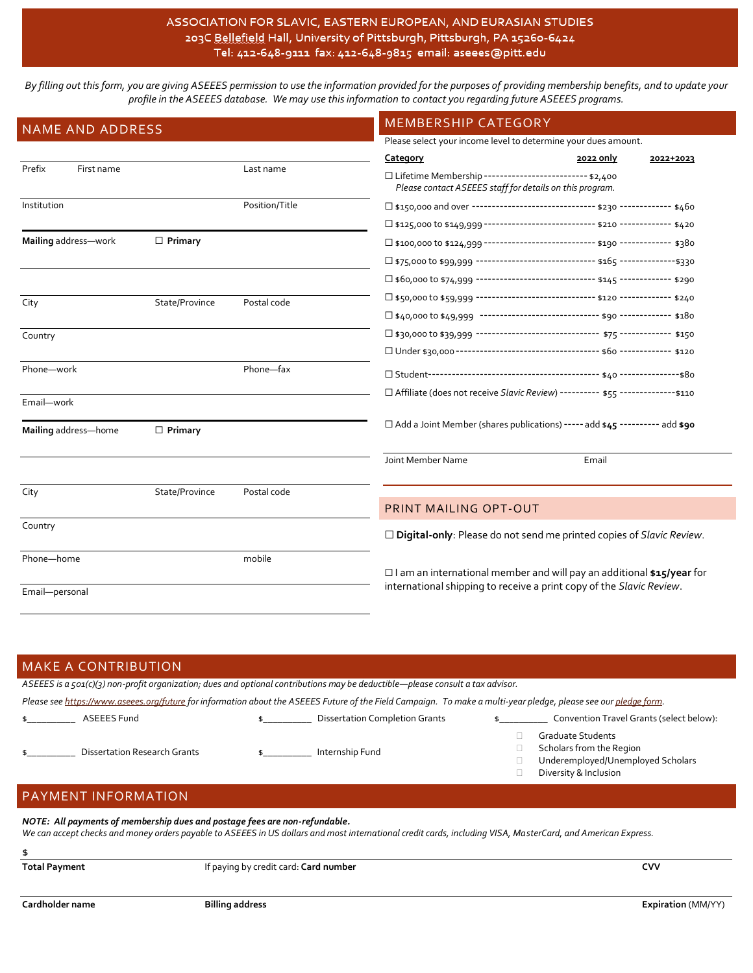# ASSOCIATION FOR SLAVIC, EASTERN EUROPEAN, AND EURASIAN STUDIES 203C Bellefield Hall, University of Pittsburgh, Pittsburgh, PA 15260-6424 Tel: 412-648-9111 fax: 412-648-9815 email: aseees@pitt.edu

*By filling out this form, you are giving ASEEES permission to use the information provided for the purposes of providing membership benefits, and to update your profile in the ASEEES database. We may use this information to contact you regarding future ASEEES programs.*

| <b>NAME AND ADDRESS</b> |                |                                                                      | MEMBERSHIP CATEGORY                                                                                                  |           |           |  |
|-------------------------|----------------|----------------------------------------------------------------------|----------------------------------------------------------------------------------------------------------------------|-----------|-----------|--|
|                         |                |                                                                      | Please select your income level to determine your dues amount.                                                       |           |           |  |
|                         |                |                                                                      | Category                                                                                                             | 2022 only | 2022+2023 |  |
| Prefix<br>First name    |                | Last name                                                            | □ Lifetime Membership -------------------------- \$2,400<br>Please contact ASEEES staff for details on this program. |           |           |  |
| Institution             |                | Position/Title                                                       | □ \$150,000 and over ------------------------------- \$230 ------------- \$460                                       |           |           |  |
|                         |                |                                                                      | □ \$125,000 to \$149,999 ---------------------------- \$210 ------------- \$420                                      |           |           |  |
| Mailing address-work    | $\Box$ Primary |                                                                      | □ \$100,000 to \$124,999 --------------------------- \$190 ------------ \$380                                        |           |           |  |
|                         |                |                                                                      | □ \$75,000 to \$99,999 ------------------------------ \$165 --------------\$330                                      |           |           |  |
|                         |                |                                                                      | □ \$60,000 to \$74,999 ----------------------------- \$145 ------------ \$290                                        |           |           |  |
| City                    | State/Province | Postal code                                                          | □ \$50,000 to \$59,999 ------------------------------- \$120 ------------- \$240                                     |           |           |  |
|                         |                |                                                                      |                                                                                                                      |           |           |  |
| Country                 |                |                                                                      |                                                                                                                      |           |           |  |
|                         |                |                                                                      |                                                                                                                      |           |           |  |
| Phone-work              |                | Phone-fax                                                            |                                                                                                                      |           |           |  |
| Email-work              |                |                                                                      | □ Affiliate (does not receive Slavic Review) ---------- \$55 --------------\$110                                     |           |           |  |
| Mailing address-home    | $\Box$ Primary |                                                                      | □ Add a Joint Member (shares publications) ----- add \$45 ---------- add \$90                                        |           |           |  |
|                         |                |                                                                      | Joint Member Name                                                                                                    | Email     |           |  |
| City                    | State/Province | Postal code                                                          |                                                                                                                      |           |           |  |
|                         |                |                                                                      | PRINT MAILING OPT-OUT                                                                                                |           |           |  |
| Country                 |                |                                                                      | $\Box$ Digital-only: Please do not send me printed copies of Slavic Review.                                          |           |           |  |
| Phone-home              |                | mobile                                                               | $\Box$ I am an international member and will pay an additional \$15/year for                                         |           |           |  |
| Email-personal          |                | international shipping to receive a print copy of the Slavic Review. |                                                                                                                      |           |           |  |

| <b>MAKE A CONTRIBUTION</b>                                                                                                                                                                                                                 |                                                                                                                                                  |                                       |  |                                                                                                                    |  |  |
|--------------------------------------------------------------------------------------------------------------------------------------------------------------------------------------------------------------------------------------------|--------------------------------------------------------------------------------------------------------------------------------------------------|---------------------------------------|--|--------------------------------------------------------------------------------------------------------------------|--|--|
|                                                                                                                                                                                                                                            | ASEEES is a $\zeta$ $\zeta$ ( $\zeta$ ) non-profit organization; dues and optional contributions may be deductible—please consult a tax advisor. |                                       |  |                                                                                                                    |  |  |
| Please see https://www.aseees.org/future for information about the ASEEES Future of the Field Campaign. To make a multi-year pledge, please see our pledge form.                                                                           |                                                                                                                                                  |                                       |  |                                                                                                                    |  |  |
|                                                                                                                                                                                                                                            | ASEEES Fund                                                                                                                                      | <b>Dissertation Completion Grants</b> |  | Convention Travel Grants (select below):                                                                           |  |  |
|                                                                                                                                                                                                                                            | <b>Dissertation Research Grants</b>                                                                                                              | Internship Fund                       |  | <b>Graduate Students</b><br>Scholars from the Region<br>Underemployed/Unemployed Scholars<br>Diversity & Inclusion |  |  |
| <b>PAYMENT INFORMATION</b>                                                                                                                                                                                                                 |                                                                                                                                                  |                                       |  |                                                                                                                    |  |  |
| NOTE: All payments of membership dues and postage fees are non-refundable.<br>We can accept checks and money orders payable to ASEEES in US dollars and most international credit cards, including VISA, MasterCard, and American Express. |                                                                                                                                                  |                                       |  |                                                                                                                    |  |  |
| \$                                                                                                                                                                                                                                         |                                                                                                                                                  |                                       |  |                                                                                                                    |  |  |
| <b>Total Payment</b>                                                                                                                                                                                                                       |                                                                                                                                                  | If paying by credit card: Card number |  | <b>CVV</b>                                                                                                         |  |  |
|                                                                                                                                                                                                                                            |                                                                                                                                                  |                                       |  |                                                                                                                    |  |  |